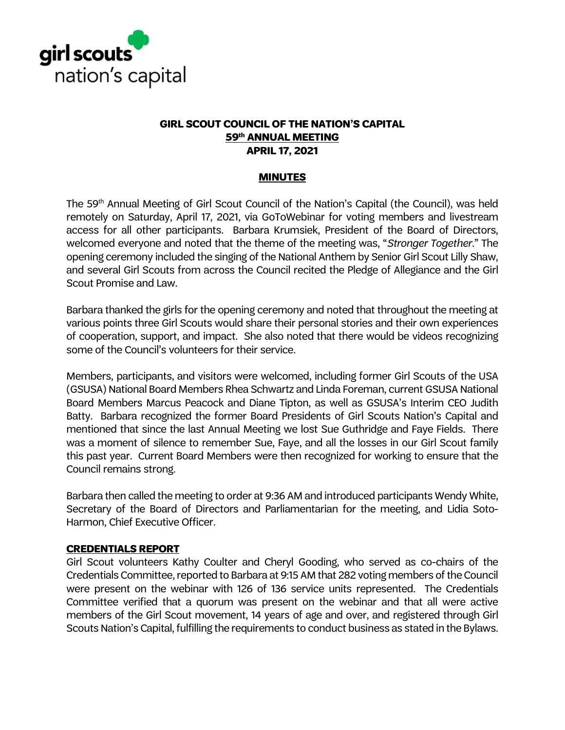

#### **GIRL SCOUT COUNCIL OF THE NATION'S CAPITAL 59th ANNUAL MEETING APRIL 17, 2021**

#### **MINUTES**

The 59<sup>th</sup> Annual Meeting of Girl Scout Council of the Nation's Capital (the Council), was held remotely on Saturday, April 17, 2021, via GoToWebinar for voting members and livestream access for all other participants. Barbara Krumsiek, President of the Board of Directors, welcomed everyone and noted that the theme of the meeting was, "*Stronger Together.*" The opening ceremony included the singing of the National Anthem by Senior Girl Scout Lilly Shaw, and several Girl Scouts from across the Council recited the Pledge of Allegiance and the Girl Scout Promise and Law.

Barbara thanked the girls for the opening ceremony and noted that throughout the meeting at various points three Girl Scouts would share their personal stories and their own experiences of cooperation, support, and impact. She also noted that there would be videos recognizing some of the Council's volunteers for their service.

Members, participants, and visitors were welcomed, including former Girl Scouts of the USA (GSUSA) National Board Members Rhea Schwartz and Linda Foreman, current GSUSA National Board Members Marcus Peacock and Diane Tipton, as well as GSUSA's Interim CEO Judith Batty. Barbara recognized the former Board Presidents of Girl Scouts Nation's Capital and mentioned that since the last Annual Meeting we lost Sue Guthridge and Faye Fields. There was a moment of silence to remember Sue, Faye, and all the losses in our Girl Scout family this past year. Current Board Members were then recognized for working to ensure that the Council remains strong.

Barbara then called the meeting to order at 9:36 AM and introduced participants Wendy White, Secretary of the Board of Directors and Parliamentarian for the meeting, and Lidia Soto-Harmon, Chief Executive Officer.

#### **CREDENTIALS REPORT**

Girl Scout volunteers Kathy Coulter and Cheryl Gooding, who served as co-chairs of the Credentials Committee, reported to Barbara at 9:15 AM that 282 voting members of the Council were present on the webinar with 126 of 136 service units represented. The Credentials Committee verified that a quorum was present on the webinar and that all were active members of the Girl Scout movement, 14 years of age and over, and registered through Girl Scouts Nation's Capital, fulfilling the requirements to conduct business as stated in the Bylaws.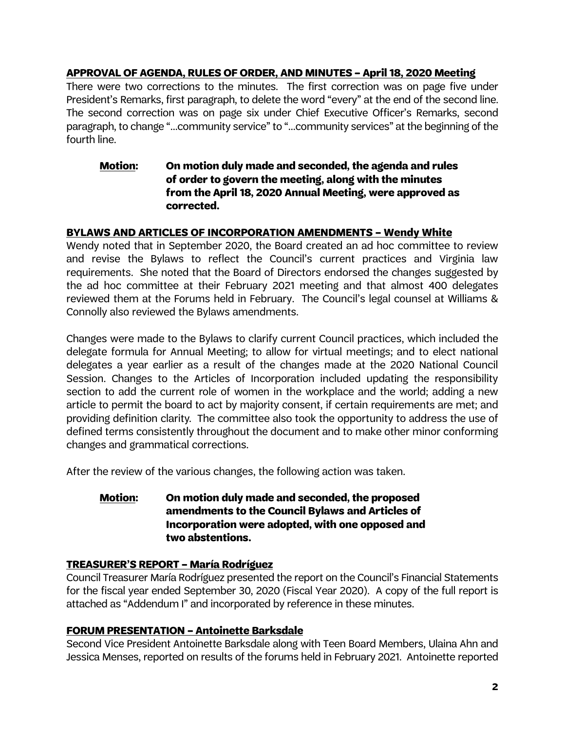## **APPROVAL OF AGENDA, RULES OF ORDER, AND MINUTES – April 18, 2020 Meeting**

There were two corrections to the minutes. The first correction was on page five under President's Remarks, first paragraph, to delete the word "every" at the end of the second line. The second correction was on page six under Chief Executive Officer's Remarks, second paragraph, to change "…community service" to "…community services" at the beginning of the fourth line.

## **Motion: On motion duly made and seconded, the agenda and rules of order to govern the meeting, along with the minutes from the April 18, 2020 Annual Meeting, were approved as corrected.**

## **BYLAWS AND ARTICLES OF INCORPORATION AMENDMENTS – Wendy White**

Wendy noted that in September 2020, the Board created an ad hoc committee to review and revise the Bylaws to reflect the Council's current practices and Virginia law requirements. She noted that the Board of Directors endorsed the changes suggested by the ad hoc committee at their February 2021 meeting and that almost 400 delegates reviewed them at the Forums held in February. The Council's legal counsel at Williams & Connolly also reviewed the Bylaws amendments.

Changes were made to the Bylaws to clarify current Council practices, which included the delegate formula for Annual Meeting; to allow for virtual meetings; and to elect national delegates a year earlier as a result of the changes made at the 2020 National Council Session. Changes to the Articles of Incorporation included updating the responsibility section to add the current role of women in the workplace and the world; adding a new article to permit the board to act by majority consent, if certain requirements are met; and providing definition clarity. The committee also took the opportunity to address the use of defined terms consistently throughout the document and to make other minor conforming changes and grammatical corrections.

After the review of the various changes, the following action was taken.

## **Motion: On motion duly made and seconded, the proposed amendments to the Council Bylaws and Articles of Incorporation were adopted, with one opposed and two abstentions.**

# **TREASURER'S REPORT – María Rodríguez**

Council Treasurer María Rodríguez presented the report on the Council's Financial Statements for the fiscal year ended September 30, 2020 (Fiscal Year 2020). A copy of the full report is attached as "Addendum I" and incorporated by reference in these minutes.

# **FORUM PRESENTATION – Antoinette Barksdale**

Second Vice President Antoinette Barksdale along with Teen Board Members, Ulaina Ahn and Jessica Menses, reported on results of the forums held in February 2021. Antoinette reported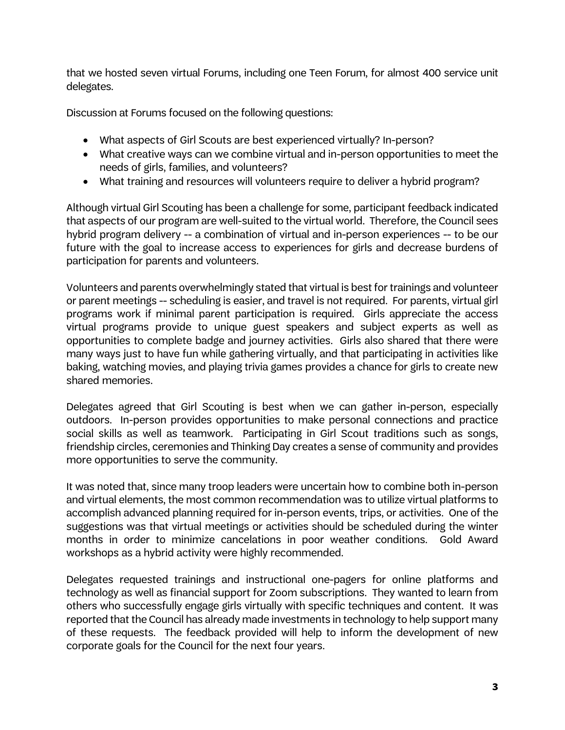that we hosted seven virtual Forums, including one Teen Forum, for almost 400 service unit delegates.

Discussion at Forums focused on the following questions:

- What aspects of Girl Scouts are best experienced virtually? In-person?
- What creative ways can we combine virtual and in-person opportunities to meet the needs of girls, families, and volunteers?
- What training and resources will volunteers require to deliver a hybrid program?

Although virtual Girl Scouting has been a challenge for some, participant feedback indicated that aspects of our program are well-suited to the virtual world. Therefore, the Council sees hybrid program delivery -- a combination of virtual and in-person experiences -- to be our future with the goal to increase access to experiences for girls and decrease burdens of participation for parents and volunteers.

Volunteers and parents overwhelmingly stated that virtual is best for trainings and volunteer or parent meetings -- scheduling is easier, and travel is not required. For parents, virtual girl programs work if minimal parent participation is required. Girls appreciate the access virtual programs provide to unique guest speakers and subject experts as well as opportunities to complete badge and journey activities. Girls also shared that there were many ways just to have fun while gathering virtually, and that participating in activities like baking, watching movies, and playing trivia games provides a chance for girls to create new shared memories.

Delegates agreed that Girl Scouting is best when we can gather in-person, especially outdoors. In-person provides opportunities to make personal connections and practice social skills as well as teamwork. Participating in Girl Scout traditions such as songs, friendship circles, ceremonies and Thinking Day creates a sense of community and provides more opportunities to serve the community.

It was noted that, since many troop leaders were uncertain how to combine both in-person and virtual elements, the most common recommendation was to utilize virtual platforms to accomplish advanced planning required for in-person events, trips, or activities. One of the suggestions was that virtual meetings or activities should be scheduled during the winter months in order to minimize cancelations in poor weather conditions. Gold Award workshops as a hybrid activity were highly recommended.

Delegates requested trainings and instructional one-pagers for online platforms and technology as well as financial support for Zoom subscriptions. They wanted to learn from others who successfully engage girls virtually with specific techniques and content. It was reported that the Council has already made investments in technology to help support many of these requests. The feedback provided will help to inform the development of new corporate goals for the Council for the next four years.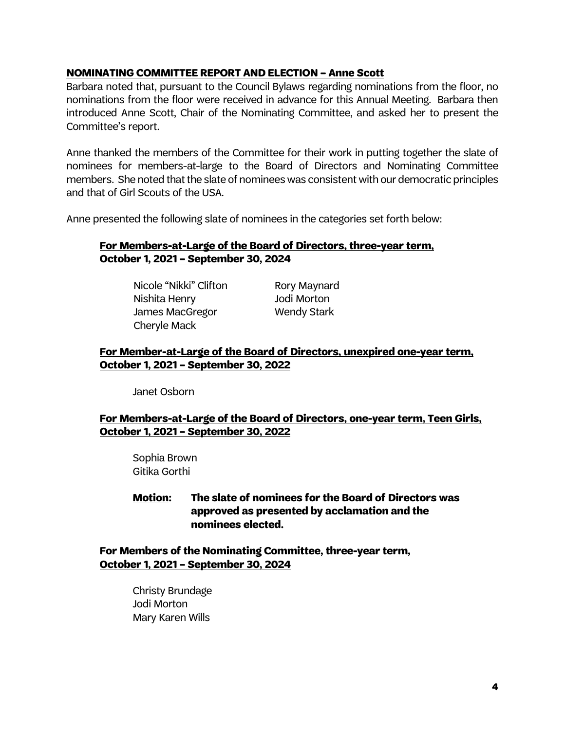#### **NOMINATING COMMITTEE REPORT AND ELECTION – Anne Scott**

Barbara noted that, pursuant to the Council Bylaws regarding nominations from the floor, no nominations from the floor were received in advance for this Annual Meeting. Barbara then introduced Anne Scott, Chair of the Nominating Committee, and asked her to present the Committee's report.

Anne thanked the members of the Committee for their work in putting together the slate of nominees for members-at-large to the Board of Directors and Nominating Committee members. She noted that the slate of nominees was consistent with our democratic principles and that of Girl Scouts of the USA.

Anne presented the following slate of nominees in the categories set forth below:

### **For Members-at-Large of the Board of Directors, three-year term, October 1, 2021 – September 30, 2024**

Nicole "Nikki" Clifton Rory Maynard Nishita Henry Jodi Morton James MacGregor Wendy Stark Cheryle Mack

## **For Member-at-Large of the Board of Directors, unexpired one-year term, October 1, 2021 – September 30, 2022**

Janet Osborn

## **For Members-at-Large of the Board of Directors, one-year term, Teen Girls, October 1, 2021 – September 30, 2022**

Sophia Brown Gitika Gorthi

**Motion: The slate of nominees for the Board of Directors was approved as presented by acclamation and the nominees elected.**

**For Members of the Nominating Committee, three-year term, October 1, 2021 – September 30, 2024**

> Christy Brundage Jodi Morton Mary Karen Wills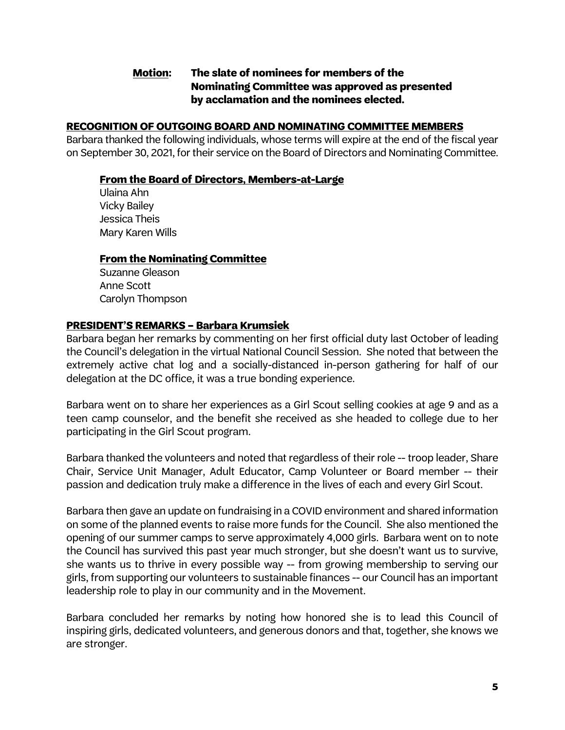## **Motion: The slate of nominees for members of the Nominating Committee was approved as presented by acclamation and the nominees elected.**

### **RECOGNITION OF OUTGOING BOARD AND NOMINATING COMMITTEE MEMBERS**

Barbara thanked the following individuals, whose terms will expire at the end of the fiscal year on September 30, 2021, for their service on the Board of Directors and Nominating Committee.

#### **From the Board of Directors, Members-at-Large**

Ulaina Ahn Vicky Bailey Jessica Theis Mary Karen Wills

#### **From the Nominating Committee**

Suzanne Gleason Anne Scott Carolyn Thompson

#### **PRESIDENT'S REMARKS – Barbara Krumsiek**

Barbara began her remarks by commenting on her first official duty last October of leading the Council's delegation in the virtual National Council Session. She noted that between the extremely active chat log and a socially-distanced in-person gathering for half of our delegation at the DC office, it was a true bonding experience.

Barbara went on to share her experiences as a Girl Scout selling cookies at age 9 and as a teen camp counselor, and the benefit she received as she headed to college due to her participating in the Girl Scout program.

Barbara thanked the volunteers and noted that regardless of their role -- troop leader, Share Chair, Service Unit Manager, Adult Educator, Camp Volunteer or Board member -- their passion and dedication truly make a difference in the lives of each and every Girl Scout.

Barbara then gave an update on fundraising in a COVID environment and shared information on some of the planned events to raise more funds for the Council. She also mentioned the opening of our summer camps to serve approximately 4,000 girls. Barbara went on to note the Council has survived this past year much stronger, but she doesn't want us to survive, she wants us to thrive in every possible way -- from growing membership to serving our girls, from supporting our volunteers to sustainable finances -- our Council has an important leadership role to play in our community and in the Movement.

Barbara concluded her remarks by noting how honored she is to lead this Council of inspiring girls, dedicated volunteers, and generous donors and that, together, she knows we are stronger.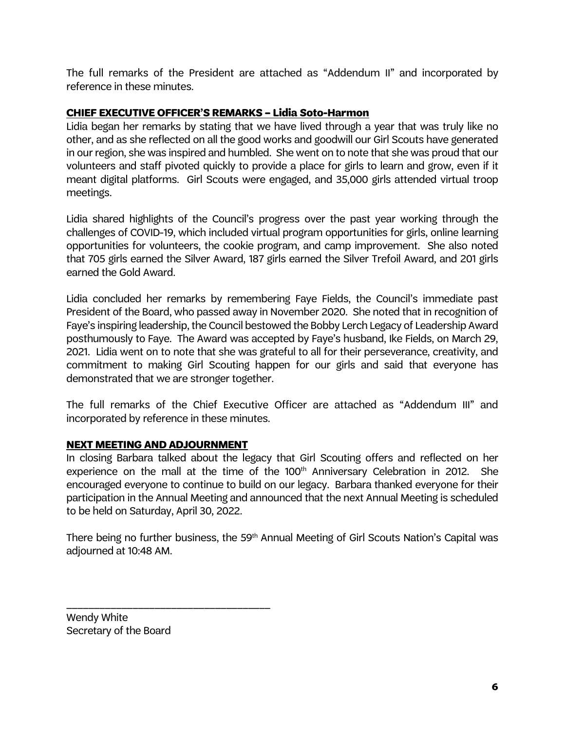The full remarks of the President are attached as "Addendum II" and incorporated by reference in these minutes.

## **CHIEF EXECUTIVE OFFICER'S REMARKS – Lidia Soto-Harmon**

Lidia began her remarks by stating that we have lived through a year that was truly like no other, and as she reflected on all the good works and goodwill our Girl Scouts have generated in our region, she was inspired and humbled. She went on to note that she was proud that our volunteers and staff pivoted quickly to provide a place for girls to learn and grow, even if it meant digital platforms. Girl Scouts were engaged, and 35,000 girls attended virtual troop meetings.

Lidia shared highlights of the Council's progress over the past year working through the challenges of COVID-19, which included virtual program opportunities for girls, online learning opportunities for volunteers, the cookie program, and camp improvement. She also noted that 705 girls earned the Silver Award, 187 girls earned the Silver Trefoil Award, and 201 girls earned the Gold Award.

Lidia concluded her remarks by remembering Faye Fields, the Council's immediate past President of the Board, who passed away in November 2020. She noted that in recognition of Faye's inspiring leadership, the Council bestowed the Bobby Lerch Legacy of Leadership Award posthumously to Faye. The Award was accepted by Faye's husband, Ike Fields, on March 29, 2021. Lidia went on to note that she was grateful to all for their perseverance, creativity, and commitment to making Girl Scouting happen for our girls and said that everyone has demonstrated that we are stronger together.

The full remarks of the Chief Executive Officer are attached as "Addendum III" and incorporated by reference in these minutes.

# **NEXT MEETING AND ADJOURNMENT**

\_\_\_\_\_\_\_\_\_\_\_\_\_\_\_\_\_\_\_\_\_\_\_\_\_\_\_\_\_\_\_\_\_\_\_\_\_

In closing Barbara talked about the legacy that Girl Scouting offers and reflected on her experience on the mall at the time of the 100<sup>th</sup> Anniversary Celebration in 2012. She encouraged everyone to continue to build on our legacy. Barbara thanked everyone for their participation in the Annual Meeting and announced that the next Annual Meeting is scheduled to be held on Saturday, April 30, 2022.

There being no further business, the 59<sup>th</sup> Annual Meeting of Girl Scouts Nation's Capital was adjourned at 10:48 AM.

Wendy White Secretary of the Board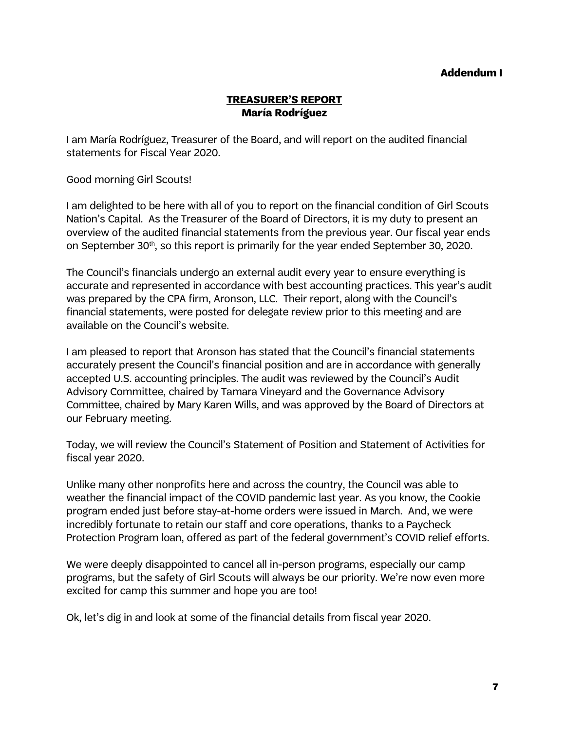#### **Addendum I**

### **TREASURER'S REPORT María Rodríguez**

I am María Rodríguez, Treasurer of the Board, and will report on the audited financial statements for Fiscal Year 2020.

Good morning Girl Scouts!

I am delighted to be here with all of you to report on the financial condition of Girl Scouts Nation's Capital. As the Treasurer of the Board of Directors, it is my duty to present an overview of the audited financial statements from the previous year. Our fiscal year ends on September 30<sup>th</sup>, so this report is primarily for the year ended September 30, 2020.

The Council's financials undergo an external audit every year to ensure everything is accurate and represented in accordance with best accounting practices. This year's audit was prepared by the CPA firm, Aronson, LLC. Their report, along with the Council's financial statements, were posted for delegate review prior to this meeting and are available on the Council's website.

I am pleased to report that Aronson has stated that the Council's financial statements accurately present the Council's financial position and are in accordance with generally accepted U.S. accounting principles. The audit was reviewed by the Council's Audit Advisory Committee, chaired by Tamara Vineyard and the Governance Advisory Committee, chaired by Mary Karen Wills, and was approved by the Board of Directors at our February meeting.

Today, we will review the Council's Statement of Position and Statement of Activities for fiscal year 2020.

Unlike many other nonprofits here and across the country, the Council was able to weather the financial impact of the COVID pandemic last year. As you know, the Cookie program ended just before stay-at-home orders were issued in March. And, we were incredibly fortunate to retain our staff and core operations, thanks to a Paycheck Protection Program loan, offered as part of the federal government's COVID relief efforts.

We were deeply disappointed to cancel all in-person programs, especially our camp programs, but the safety of Girl Scouts will always be our priority. We're now even more excited for camp this summer and hope you are too!

Ok, let's dig in and look at some of the financial details from fiscal year 2020.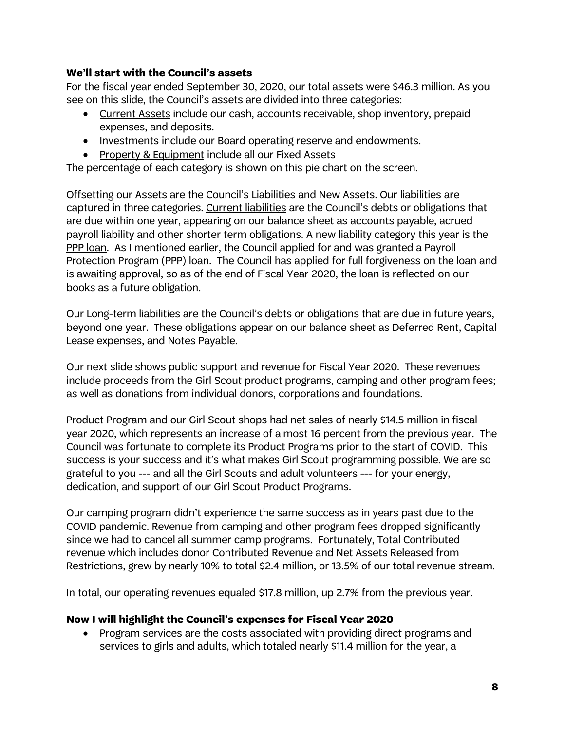# **We'll start with the Council's assets**

For the fiscal year ended September 30, 2020, our total assets were \$46.3 million. As you see on this slide, the Council's assets are divided into three categories:

- Current Assets include our cash, accounts receivable, shop inventory, prepaid expenses, and deposits.
- Investments include our Board operating reserve and endowments.
- Property & Equipment include all our Fixed Assets

The percentage of each category is shown on this pie chart on the screen.

Offsetting our Assets are the Council's Liabilities and New Assets. Our liabilities are captured in three categories. Current liabilities are the Council's debts or obligations that are due within one year, appearing on our balance sheet as accounts payable, acrued payroll liability and other shorter term obligations. A new liability category this year is the PPP loan. As I mentioned earlier, the Council applied for and was granted a Payroll Protection Program (PPP) loan. The Council has applied for full forgiveness on the loan and is awaiting approval, so as of the end of Fiscal Year 2020, the loan is reflected on our books as a future obligation.

Our Long-term liabilities are the Council's debts or obligations that are due in future years, beyond one year. These obligations appear on our balance sheet as Deferred Rent, Capital Lease expenses, and Notes Payable.

Our next slide shows public support and revenue for Fiscal Year 2020. These revenues include proceeds from the Girl Scout product programs, camping and other program fees; as well as donations from individual donors, corporations and foundations.

Product Program and our Girl Scout shops had net sales of nearly \$14.5 million in fiscal year 2020, which represents an increase of almost 16 percent from the previous year. The Council was fortunate to complete its Product Programs prior to the start of COVID. This success is your success and it's what makes Girl Scout programming possible. We are so grateful to you --- and all the Girl Scouts and adult volunteers --- for your energy, dedication, and support of our Girl Scout Product Programs.

Our camping program didn't experience the same success as in years past due to the COVID pandemic. Revenue from camping and other program fees dropped significantly since we had to cancel all summer camp programs. Fortunately, Total Contributed revenue which includes donor Contributed Revenue and Net Assets Released from Restrictions, grew by nearly 10% to total \$2.4 million, or 13.5% of our total revenue stream.

In total, our operating revenues equaled \$17.8 million, up 2.7% from the previous year.

### **Now I will highlight the Council's expenses for Fiscal Year 2020**

• Program services are the costs associated with providing direct programs and services to girls and adults, which totaled nearly \$11.4 million for the year, a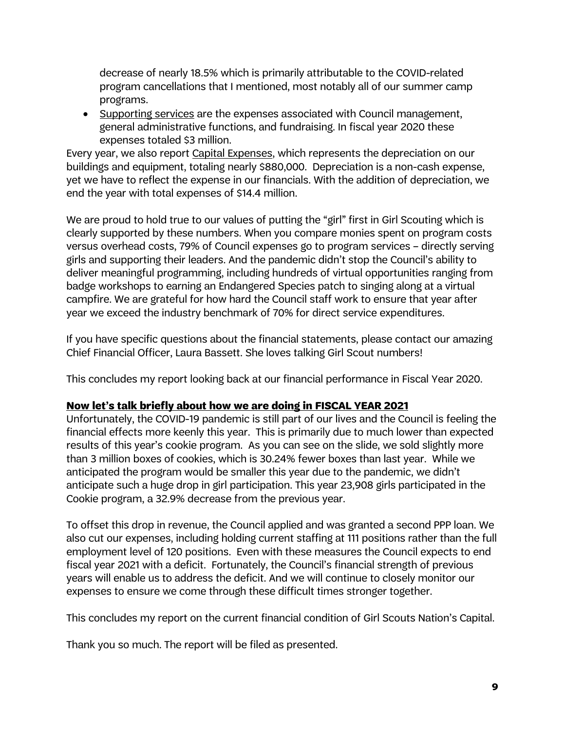decrease of nearly 18.5% which is primarily attributable to the COVID-related program cancellations that I mentioned, most notably all of our summer camp programs.

• Supporting services are the expenses associated with Council management, general administrative functions, and fundraising. In fiscal year 2020 these expenses totaled \$3 million.

Every year, we also report Capital Expenses, which represents the depreciation on our buildings and equipment, totaling nearly \$880,000. Depreciation is a non-cash expense, yet we have to reflect the expense in our financials. With the addition of depreciation, we end the year with total expenses of \$14.4 million.

We are proud to hold true to our values of putting the "girl" first in Girl Scouting which is clearly supported by these numbers. When you compare monies spent on program costs versus overhead costs, 79% of Council expenses go to program services – directly serving girls and supporting their leaders. And the pandemic didn't stop the Council's ability to deliver meaningful programming, including hundreds of virtual opportunities ranging from badge workshops to earning an Endangered Species patch to singing along at a virtual campfire. We are grateful for how hard the Council staff work to ensure that year after year we exceed the industry benchmark of 70% for direct service expenditures.

If you have specific questions about the financial statements, please contact our amazing Chief Financial Officer, Laura Bassett. She loves talking Girl Scout numbers!

This concludes my report looking back at our financial performance in Fiscal Year 2020.

### **Now let's talk briefly about how we are doing in FISCAL YEAR 2021**

Unfortunately, the COVID-19 pandemic is still part of our lives and the Council is feeling the financial effects more keenly this year. This is primarily due to much lower than expected results of this year's cookie program. As you can see on the slide, we sold slightly more than 3 million boxes of cookies, which is 30.24% fewer boxes than last year. While we anticipated the program would be smaller this year due to the pandemic, we didn't anticipate such a huge drop in girl participation. This year 23,908 girls participated in the Cookie program, a 32.9% decrease from the previous year.

To offset this drop in revenue, the Council applied and was granted a second PPP loan. We also cut our expenses, including holding current staffing at 111 positions rather than the full employment level of 120 positions. Even with these measures the Council expects to end fiscal year 2021 with a deficit. Fortunately, the Council's financial strength of previous years will enable us to address the deficit. And we will continue to closely monitor our expenses to ensure we come through these difficult times stronger together.

This concludes my report on the current financial condition of Girl Scouts Nation's Capital.

Thank you so much. The report will be filed as presented.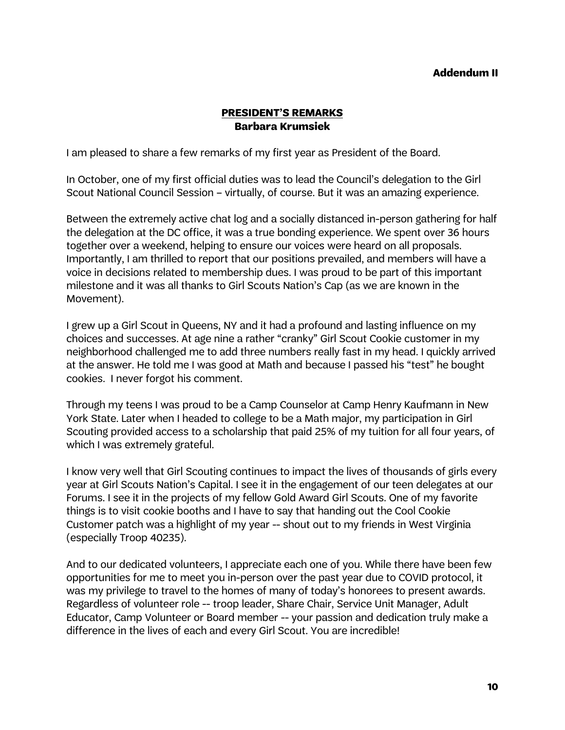#### **Addendum II**

### **PRESIDENT'S REMARKS Barbara Krumsiek**

I am pleased to share a few remarks of my first year as President of the Board.

In October, one of my first official duties was to lead the Council's delegation to the Girl Scout National Council Session – virtually, of course. But it was an amazing experience.

Between the extremely active chat log and a socially distanced in-person gathering for half the delegation at the DC office, it was a true bonding experience. We spent over 36 hours together over a weekend, helping to ensure our voices were heard on all proposals. Importantly, I am thrilled to report that our positions prevailed, and members will have a voice in decisions related to membership dues. I was proud to be part of this important milestone and it was all thanks to Girl Scouts Nation's Cap (as we are known in the Movement).

I grew up a Girl Scout in Queens, NY and it had a profound and lasting influence on my choices and successes. At age nine a rather "cranky" Girl Scout Cookie customer in my neighborhood challenged me to add three numbers really fast in my head. I quickly arrived at the answer. He told me I was good at Math and because I passed his "test" he bought cookies. I never forgot his comment.

Through my teens I was proud to be a Camp Counselor at Camp Henry Kaufmann in New York State. Later when I headed to college to be a Math major, my participation in Girl Scouting provided access to a scholarship that paid 25% of my tuition for all four years, of which I was extremely grateful.

I know very well that Girl Scouting continues to impact the lives of thousands of girls every year at Girl Scouts Nation's Capital. I see it in the engagement of our teen delegates at our Forums. I see it in the projects of my fellow Gold Award Girl Scouts. One of my favorite things is to visit cookie booths and I have to say that handing out the Cool Cookie Customer patch was a highlight of my year -- shout out to my friends in West Virginia (especially Troop 40235).

And to our dedicated volunteers, I appreciate each one of you. While there have been few opportunities for me to meet you in-person over the past year due to COVID protocol, it was my privilege to travel to the homes of many of today's honorees to present awards. Regardless of volunteer role -- troop leader, Share Chair, Service Unit Manager, Adult Educator, Camp Volunteer or Board member -- your passion and dedication truly make a difference in the lives of each and every Girl Scout. You are incredible!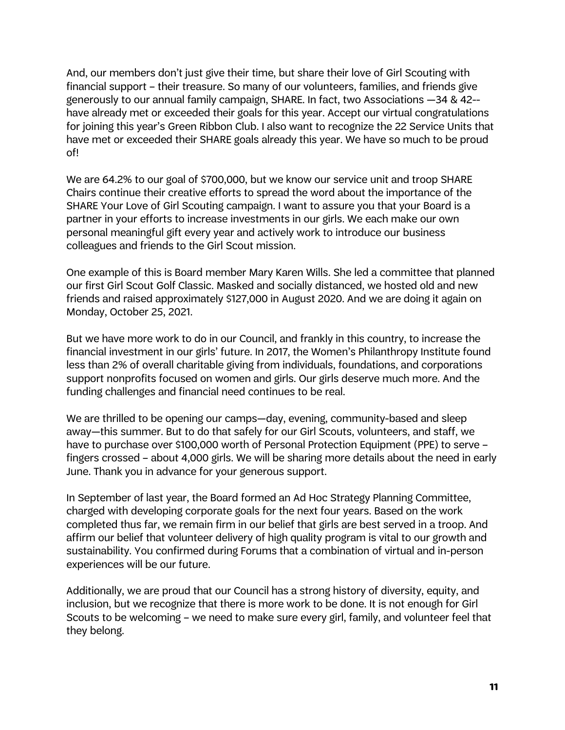And, our members don't just give their time, but share their love of Girl Scouting with financial support – their treasure. So many of our volunteers, families, and friends give generously to our annual family campaign, SHARE. In fact, two Associations —34 & 42- have already met or exceeded their goals for this year. Accept our virtual congratulations for joining this year's Green Ribbon Club. I also want to recognize the 22 Service Units that have met or exceeded their SHARE goals already this year. We have so much to be proud of!

We are 64.2% to our goal of \$700,000, but we know our service unit and troop SHARE Chairs continue their creative efforts to spread the word about the importance of the SHARE Your Love of Girl Scouting campaign. I want to assure you that your Board is a partner in your efforts to increase investments in our girls. We each make our own personal meaningful gift every year and actively work to introduce our business colleagues and friends to the Girl Scout mission.

One example of this is Board member Mary Karen Wills. She led a committee that planned our first Girl Scout Golf Classic. Masked and socially distanced, we hosted old and new friends and raised approximately \$127,000 in August 2020. And we are doing it again on Monday, October 25, 2021.

But we have more work to do in our Council, and frankly in this country, to increase the financial investment in our girls' future. In 2017, the Women's Philanthropy Institute found less than 2% of overall charitable giving from individuals, foundations, and corporations support nonprofits focused on women and girls. Our girls deserve much more. And the funding challenges and financial need continues to be real.

We are thrilled to be opening our camps—day, evening, community-based and sleep away—this summer. But to do that safely for our Girl Scouts, volunteers, and staff, we have to purchase over \$100,000 worth of Personal Protection Equipment (PPE) to serve fingers crossed – about 4,000 girls. We will be sharing more details about the need in early June. Thank you in advance for your generous support.

In September of last year, the Board formed an Ad Hoc Strategy Planning Committee, charged with developing corporate goals for the next four years. Based on the work completed thus far, we remain firm in our belief that girls are best served in a troop. And affirm our belief that volunteer delivery of high quality program is vital to our growth and sustainability. You confirmed during Forums that a combination of virtual and in-person experiences will be our future.

Additionally, we are proud that our Council has a strong history of diversity, equity, and inclusion, but we recognize that there is more work to be done. It is not enough for Girl Scouts to be welcoming – we need to make sure every girl, family, and volunteer feel that they belong.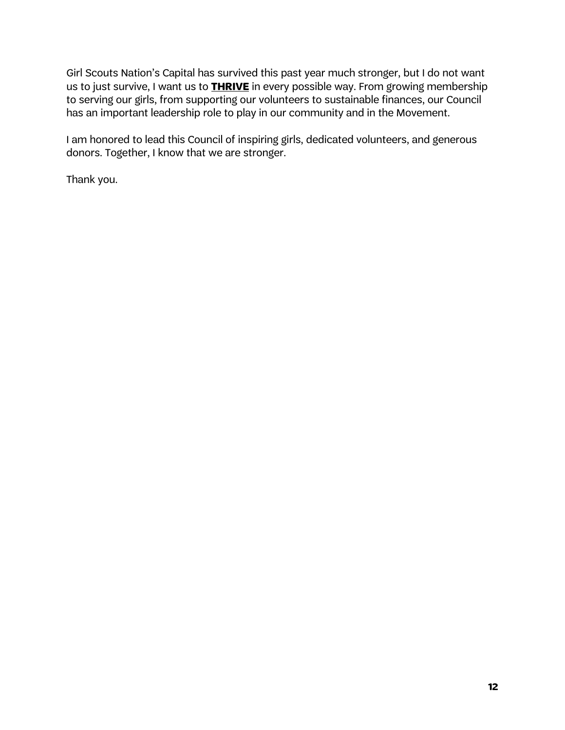Girl Scouts Nation's Capital has survived this past year much stronger, but I do not want us to just survive, I want us to **THRIVE** in every possible way. From growing membership to serving our girls, from supporting our volunteers to sustainable finances, our Council has an important leadership role to play in our community and in the Movement.

I am honored to lead this Council of inspiring girls, dedicated volunteers, and generous donors. Together, I know that we are stronger.

Thank you.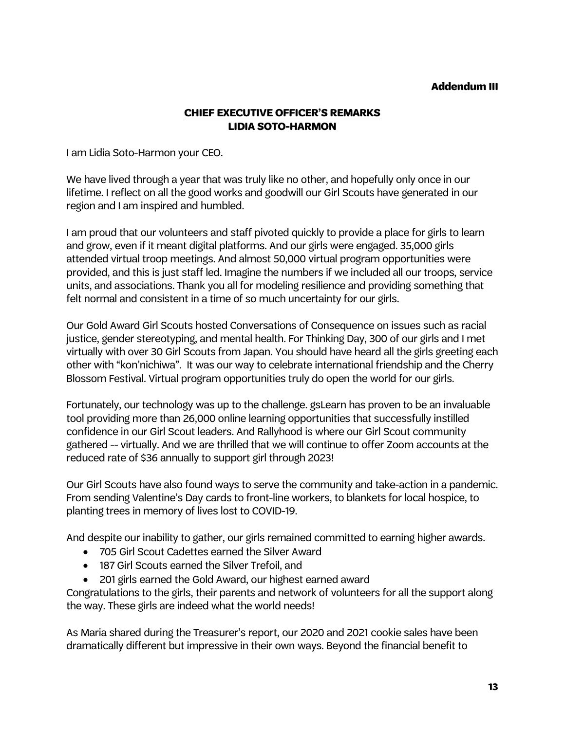### **Addendum III**

## **CHIEF EXECUTIVE OFFICER'S REMARKS LIDIA SOTO-HARMON**

I am Lidia Soto-Harmon your CEO.

We have lived through a year that was truly like no other, and hopefully only once in our lifetime. I reflect on all the good works and goodwill our Girl Scouts have generated in our region and I am inspired and humbled.

I am proud that our volunteers and staff pivoted quickly to provide a place for girls to learn and grow, even if it meant digital platforms. And our girls were engaged. 35,000 girls attended virtual troop meetings. And almost 50,000 virtual program opportunities were provided, and this is just staff led. Imagine the numbers if we included all our troops, service units, and associations. Thank you all for modeling resilience and providing something that felt normal and consistent in a time of so much uncertainty for our girls.

Our Gold Award Girl Scouts hosted Conversations of Consequence on issues such as racial justice, gender stereotyping, and mental health. For Thinking Day, 300 of our girls and I met virtually with over 30 Girl Scouts from Japan. You should have heard all the girls greeting each other with "kon'nichiwa". It was our way to celebrate international friendship and the Cherry Blossom Festival. Virtual program opportunities truly do open the world for our girls.

Fortunately, our technology was up to the challenge. gsLearn has proven to be an invaluable tool providing more than 26,000 online learning opportunities that successfully instilled confidence in our Girl Scout leaders. And Rallyhood is where our Girl Scout community gathered -- virtually. And we are thrilled that we will continue to offer Zoom accounts at the reduced rate of \$36 annually to support girl through 2023!

Our Girl Scouts have also found ways to serve the community and take-action in a pandemic. From sending Valentine's Day cards to front-line workers, to blankets for local hospice, to planting trees in memory of lives lost to COVID-19.

And despite our inability to gather, our girls remained committed to earning higher awards.

- 705 Girl Scout Cadettes earned the Silver Award
- 187 Girl Scouts earned the Silver Trefoil, and
- 201 girls earned the Gold Award, our highest earned award

Congratulations to the girls, their parents and network of volunteers for all the support along the way. These girls are indeed what the world needs!

As Maria shared during the Treasurer's report, our 2020 and 2021 cookie sales have been dramatically different but impressive in their own ways. Beyond the financial benefit to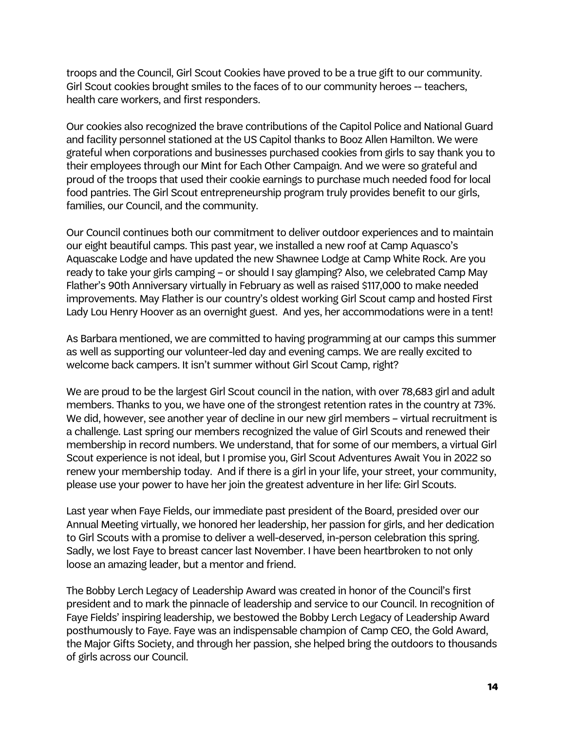troops and the Council, Girl Scout Cookies have proved to be a true gift to our community. Girl Scout cookies brought smiles to the faces of to our community heroes -- teachers, health care workers, and first responders.

Our cookies also recognized the brave contributions of the Capitol Police and National Guard and facility personnel stationed at the US Capitol thanks to Booz Allen Hamilton. We were grateful when corporations and businesses purchased cookies from girls to say thank you to their employees through our Mint for Each Other Campaign. And we were so grateful and proud of the troops that used their cookie earnings to purchase much needed food for local food pantries. The Girl Scout entrepreneurship program truly provides benefit to our girls, families, our Council, and the community.

Our Council continues both our commitment to deliver outdoor experiences and to maintain our eight beautiful camps. This past year, we installed a new roof at Camp Aquasco's Aquascake Lodge and have updated the new Shawnee Lodge at Camp White Rock. Are you ready to take your girls camping – or should I say glamping? Also, we celebrated Camp May Flather's 90th Anniversary virtually in February as well as raised \$117,000 to make needed improvements. May Flather is our country's oldest working Girl Scout camp and hosted First Lady Lou Henry Hoover as an overnight guest. And yes, her accommodations were in a tent!

As Barbara mentioned, we are committed to having programming at our camps this summer as well as supporting our volunteer-led day and evening camps. We are really excited to welcome back campers. It isn't summer without Girl Scout Camp, right?

We are proud to be the largest Girl Scout council in the nation, with over 78,683 girl and adult members. Thanks to you, we have one of the strongest retention rates in the country at 73%. We did, however, see another year of decline in our new girl members - virtual recruitment is a challenge. Last spring our members recognized the value of Girl Scouts and renewed their membership in record numbers. We understand, that for some of our members, a virtual Girl Scout experience is not ideal, but I promise you, Girl Scout Adventures Await You in 2022 so renew your membership today. And if there is a girl in your life, your street, your community, please use your power to have her join the greatest adventure in her life: Girl Scouts.

Last year when Faye Fields, our immediate past president of the Board, presided over our Annual Meeting virtually, we honored her leadership, her passion for girls, and her dedication to Girl Scouts with a promise to deliver a well-deserved, in-person celebration this spring. Sadly, we lost Faye to breast cancer last November. I have been heartbroken to not only loose an amazing leader, but a mentor and friend.

The Bobby Lerch Legacy of Leadership Award was created in honor of the Council's first president and to mark the pinnacle of leadership and service to our Council. In recognition of Faye Fields' inspiring leadership, we bestowed the Bobby Lerch Legacy of Leadership Award posthumously to Faye. Faye was an indispensable champion of Camp CEO, the Gold Award, the Major Gifts Society, and through her passion, she helped bring the outdoors to thousands of girls across our Council.